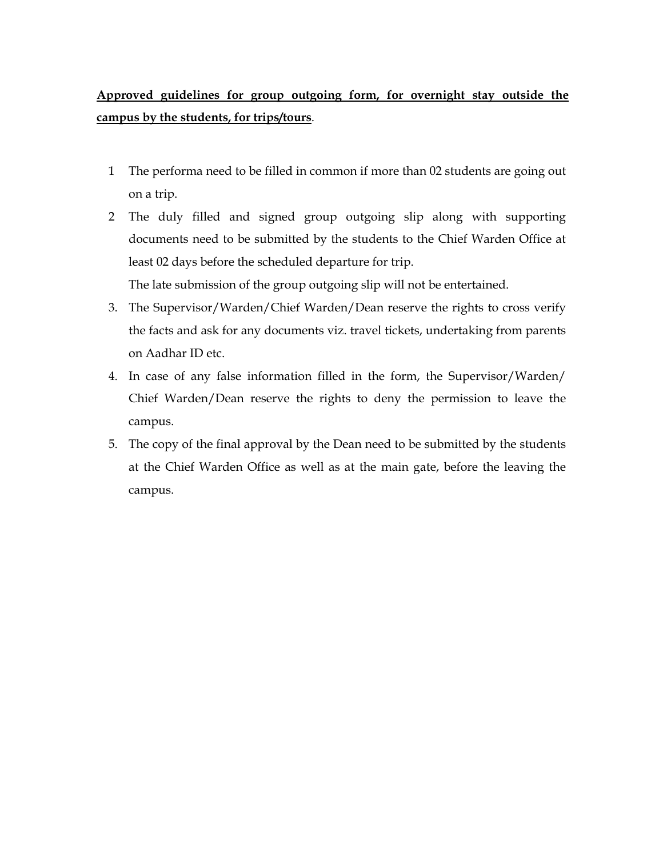## **Approved guidelines for group outgoing form, for overnight stay outside the campus by the students, for trips/tours**.

- 1 The performa need to be filled in common if more than 02 students are going out on a trip.
- 2 The duly filled and signed group outgoing slip along with supporting documents need to be submitted by the students to the Chief Warden Office at least 02 days before the scheduled departure for trip.

The late submission of the group outgoing slip will not be entertained.

- 3. The Supervisor/Warden/Chief Warden/Dean reserve the rights to cross verify the facts and ask for any documents viz. travel tickets, undertaking from parents on Aadhar ID etc.
- 4. In case of any false information filled in the form, the Supervisor/Warden/ Chief Warden/Dean reserve the rights to deny the permission to leave the campus.
- 5. The copy of the final approval by the Dean need to be submitted by the students at the Chief Warden Office as well as at the main gate, before the leaving the campus.